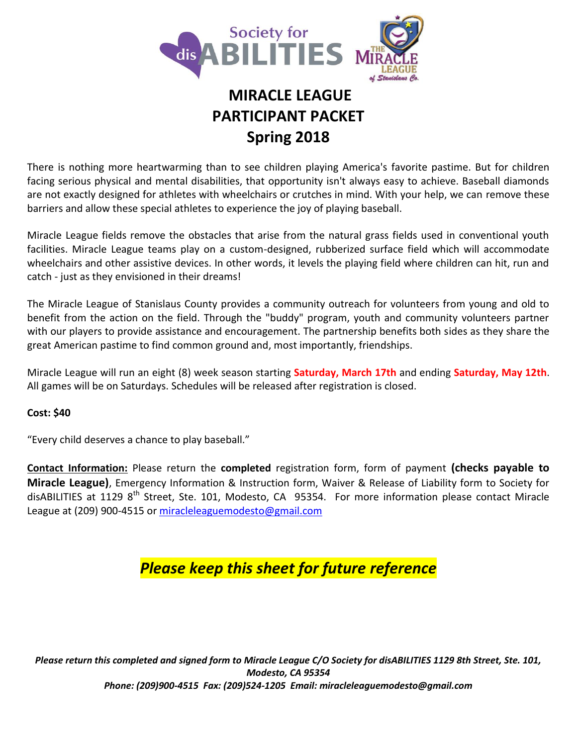

# **MIRACLE LEAGUE PARTICIPANT PACKET Spring 2018**

There is nothing more heartwarming than to see children playing America's favorite pastime. But for children facing serious physical and mental disabilities, that opportunity isn't always easy to achieve. Baseball diamonds are not exactly designed for athletes with wheelchairs or crutches in mind. With your help, we can remove these barriers and allow these special athletes to experience the joy of playing baseball.

Miracle League fields remove the obstacles that arise from the natural grass fields used in conventional youth facilities. Miracle League teams play on a custom-designed, rubberized surface field which will accommodate wheelchairs and other assistive devices. In other words, it levels the playing field where children can hit, run and catch - just as they envisioned in their dreams!

The Miracle League of Stanislaus County provides a community outreach for volunteers from young and old to benefit from the action on the field. Through the "buddy" program, youth and community volunteers partner with our players to provide assistance and encouragement. The partnership benefits both sides as they share the great American pastime to find common ground and, most importantly, friendships.

Miracle League will run an eight (8) week season starting **Saturday, March 17th** and ending **Saturday, May 12th**. All games will be on Saturdays. Schedules will be released after registration is closed.

#### **Cost: \$40**

"Every child deserves a chance to play baseball."

**Contact Information:** Please return the **completed** registration form, form of payment **(checks payable to Miracle League)**, Emergency Information & Instruction form, Waiver & Release of Liability form to Society for disABILITIES at 1129 8<sup>th</sup> Street, Ste. 101, Modesto, CA 95354. For more information please contact Miracle League at (209) 900-4515 or [miracleleaguemodesto@gmail.com](mailto:miracleleaguemodesto@gmail.com)

## *Please keep this sheet for future reference*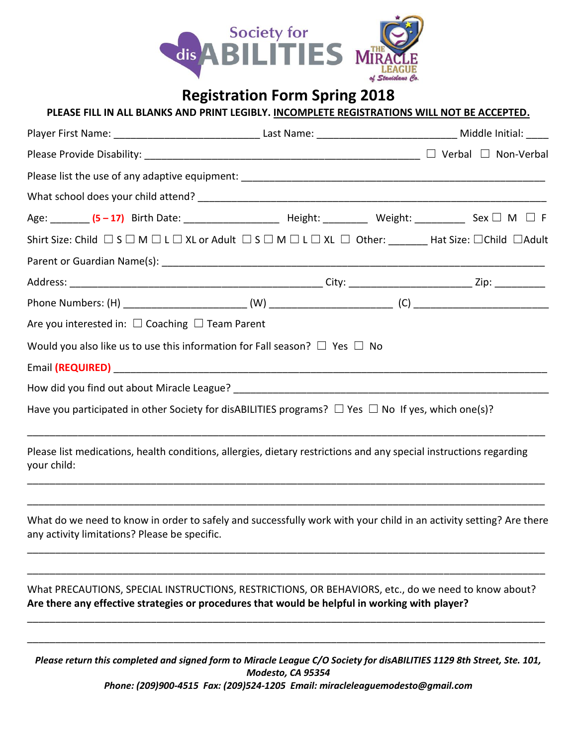

|                                                                                                                                                                     |                                                                                                     |                                                                                                | PLEASE FILL IN ALL BLANKS AND PRINT LEGIBLY. INCOMPLETE REGISTRATIONS WILL NOT BE ACCEPTED. |  |
|---------------------------------------------------------------------------------------------------------------------------------------------------------------------|-----------------------------------------------------------------------------------------------------|------------------------------------------------------------------------------------------------|---------------------------------------------------------------------------------------------|--|
|                                                                                                                                                                     |                                                                                                     |                                                                                                |                                                                                             |  |
|                                                                                                                                                                     |                                                                                                     |                                                                                                |                                                                                             |  |
|                                                                                                                                                                     |                                                                                                     |                                                                                                |                                                                                             |  |
|                                                                                                                                                                     |                                                                                                     |                                                                                                |                                                                                             |  |
| Age: _______ (5-17) Birth Date: ______________________ Height: _________ Weight: __________ Sex $\Box$ M $\Box$ F                                                   |                                                                                                     |                                                                                                |                                                                                             |  |
| Shirt Size: Child $\Box$ S $\Box$ M $\Box$ L $\Box$ XL or Adult $\Box$ S $\Box$ M $\Box$ L $\Box$ XL $\Box$ Other: _______ Hat Size: $\Box$ Child $\Box$ Adult      |                                                                                                     |                                                                                                |                                                                                             |  |
|                                                                                                                                                                     |                                                                                                     |                                                                                                |                                                                                             |  |
|                                                                                                                                                                     |                                                                                                     |                                                                                                |                                                                                             |  |
|                                                                                                                                                                     |                                                                                                     |                                                                                                |                                                                                             |  |
| Are you interested in: $\Box$ Coaching $\Box$ Team Parent                                                                                                           |                                                                                                     |                                                                                                |                                                                                             |  |
| Would you also like us to use this information for Fall season? $\Box$ Yes $\Box$ No                                                                                |                                                                                                     |                                                                                                |                                                                                             |  |
|                                                                                                                                                                     |                                                                                                     |                                                                                                |                                                                                             |  |
|                                                                                                                                                                     |                                                                                                     |                                                                                                |                                                                                             |  |
| Have you participated in other Society for disABILITIES programs? $\Box$ Yes $\Box$ No If yes, which one(s)?                                                        |                                                                                                     |                                                                                                |                                                                                             |  |
| Please list medications, health conditions, allergies, dietary restrictions and any special instructions regarding<br>your child:                                   |                                                                                                     |                                                                                                |                                                                                             |  |
| What do we need to know in order to safely and successfully work with your child in an activity setting? Are there<br>any activity limitations? Please be specific. |                                                                                                     |                                                                                                |                                                                                             |  |
|                                                                                                                                                                     | What PRECAUTIONS, SPECIAL INSTRUCTIONS, RESTRICTIONS, OR BEHAVIORS, etc., do we need to know about? | Are there any effective strategies or procedures that would be helpful in working with player? |                                                                                             |  |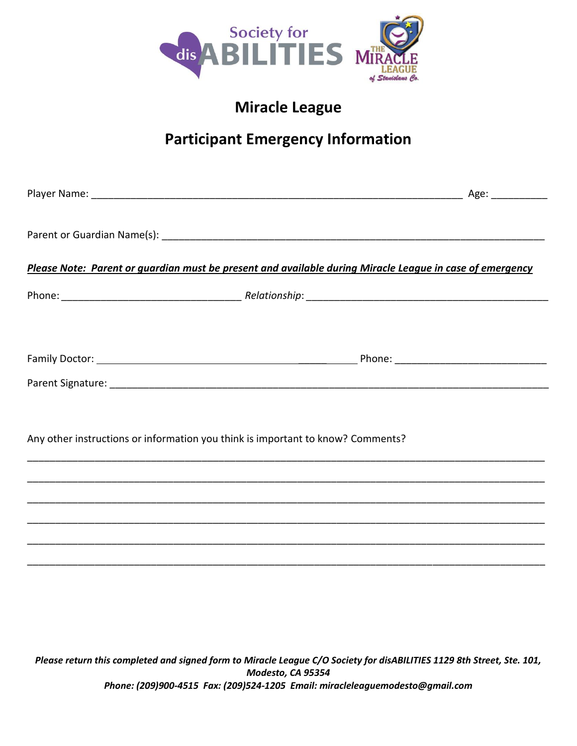

## **Miracle League**

# **Participant Emergency Information**

| Please Note: Parent or guardian must be present and available during Miracle League in case of emergency |  |
|----------------------------------------------------------------------------------------------------------|--|
|                                                                                                          |  |
|                                                                                                          |  |
|                                                                                                          |  |
|                                                                                                          |  |
|                                                                                                          |  |
| Any other instructions or information you think is important to know? Comments?                          |  |
|                                                                                                          |  |
|                                                                                                          |  |
|                                                                                                          |  |
|                                                                                                          |  |
|                                                                                                          |  |
|                                                                                                          |  |